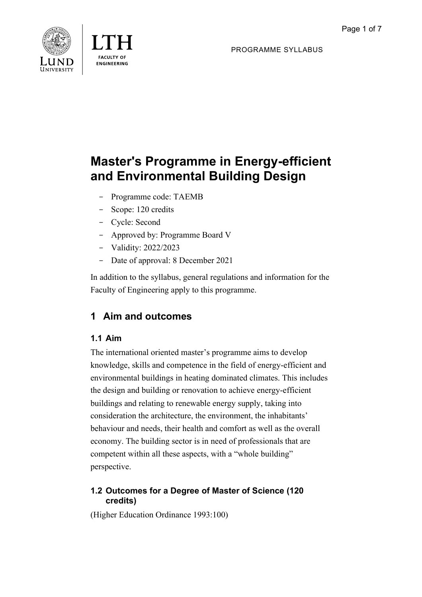



PROGRAMME SYLLABUS

# **Master's Programme in Energy-efficient and Environmental Building Design**

- Programme code: TAEMB
- Scope: 120 credits
- Cycle: Second
- Approved by: Programme Board V
- Validity: 2022/2023
- Date of approval: 8 December 2021

In addition to the syllabus, general regulations and information for the Faculty of Engineering apply to this programme.

# **1 Aim and outcomes**

### **1.1 Aim**

The international oriented master's programme aims to develop knowledge, skills and competence in the field of energy-efficient and environmental buildings in heating dominated climates. This includes the design and building or renovation to achieve energy-efficient buildings and relating to renewable energy supply, taking into consideration the architecture, the environment, the inhabitants' behaviour and needs, their health and comfort as well as the overall economy. The building sector is in need of professionals that are competent within all these aspects, with a "whole building" perspective.

### **1.2 Outcomes for a Degree of Master of Science (120 credits)**

(Higher Education Ordinance 1993:100)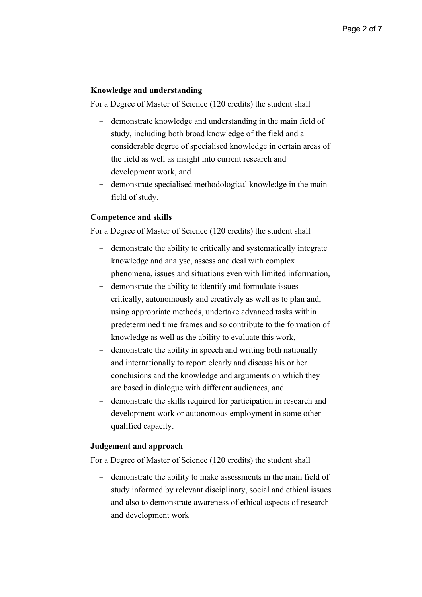#### **Knowledge and understanding**

For a Degree of Master of Science (120 credits) the student shall

- demonstrate knowledge and understanding in the main field of study, including both broad knowledge of the field and a considerable degree of specialised knowledge in certain areas of the field as well as insight into current research and development work, and
- demonstrate specialised methodological knowledge in the main field of study.

#### **Competence and skills**

For a Degree of Master of Science (120 credits) the student shall

- demonstrate the ability to critically and systematically integrate knowledge and analyse, assess and deal with complex phenomena, issues and situations even with limited information,
- demonstrate the ability to identify and formulate issues critically, autonomously and creatively as well as to plan and, using appropriate methods, undertake advanced tasks within predetermined time frames and so contribute to the formation of knowledge as well as the ability to evaluate this work,
- demonstrate the ability in speech and writing both nationally and internationally to report clearly and discuss his or her conclusions and the knowledge and arguments on which they are based in dialogue with different audiences, and
- demonstrate the skills required for participation in research and development work or autonomous employment in some other qualified capacity.

#### **Judgement and approach**

For a Degree of Master of Science (120 credits) the student shall

- demonstrate the ability to make assessments in the main field of study informed by relevant disciplinary, social and ethical issues and also to demonstrate awareness of ethical aspects of research and development work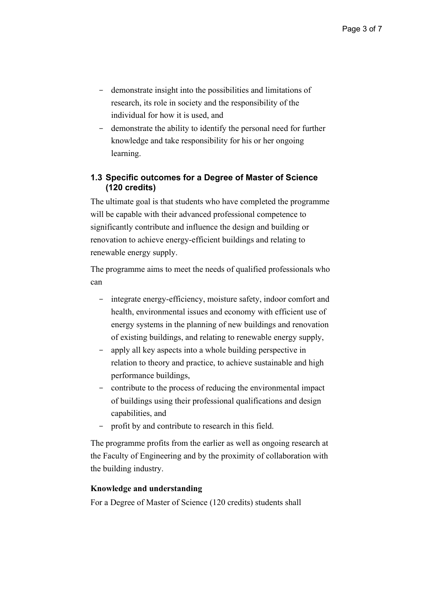- demonstrate insight into the possibilities and limitations of research, its role in society and the responsibility of the individual for how it is used, and
- demonstrate the ability to identify the personal need for further knowledge and take responsibility for his or her ongoing learning.

### **1.3 Specific outcomes for a Degree of Master of Science (120 credits)**

The ultimate goal is that students who have completed the programme will be capable with their advanced professional competence to significantly contribute and influence the design and building or renovation to achieve energy-efficient buildings and relating to renewable energy supply.

The programme aims to meet the needs of qualified professionals who can

- integrate energy-efficiency, moisture safety, indoor comfort and health, environmental issues and economy with efficient use of energy systems in the planning of new buildings and renovation of existing buildings, and relating to renewable energy supply,
- apply all key aspects into a whole building perspective in relation to theory and practice, to achieve sustainable and high performance buildings,
- contribute to the process of reducing the environmental impact of buildings using their professional qualifications and design capabilities, and
- profit by and contribute to research in this field.

The programme profits from the earlier as well as ongoing research at the Faculty of Engineering and by the proximity of collaboration with the building industry.

#### **Knowledge and understanding**

For a Degree of Master of Science (120 credits) students shall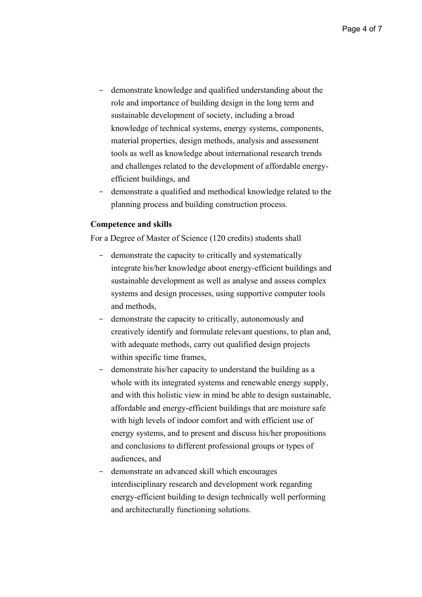- demonstrate knowledge and qualified understanding about the role and importance of building design in the long term and sustainable development of society, including a broad knowledge of technical systems, energy systems, components, material properties, design methods, analysis and assessment tools as well as knowledge about international research trends and challenges related to the development of affordable energyefficient buildings, and
- demonstrate a qualified and methodical knowledge related to the planning process and building construction process.

#### **Competence and skills**

For a Degree of Master of Science (120 credits) students shall

- demonstrate the capacity to critically and systematically integrate his/her knowledge about energy-efficient buildings and sustainable development as well as analyse and assess complex systems and design processes, using supportive computer tools and methods,
- demonstrate the capacity to critically, autonomously and creatively identify and formulate relevant questions, to plan and, with adequate methods, carry out qualified design projects within specific time frames,
- demonstrate his/her capacity to understand the building as a whole with its integrated systems and renewable energy supply, and with this holistic view in mind be able to design sustainable, affordable and energy-efficient buildings that are moisture safe with high levels of indoor comfort and with efficient use of energy systems, and to present and discuss his/her propositions and conclusions to different professional groups or types of audiences, and
- demonstrate an advanced skill which encourages interdisciplinary research and development work regarding energy-efficient building to design technically well performing and architecturally functioning solutions.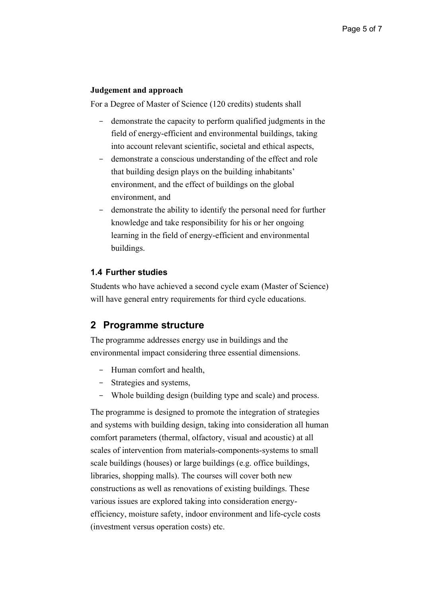#### **Judgement and approach**

For a Degree of Master of Science (120 credits) students shall

- demonstrate the capacity to perform qualified judgments in the field of energy-efficient and environmental buildings, taking into account relevant scientific, societal and ethical aspects,
- demonstrate a conscious understanding of the effect and role that building design plays on the building inhabitants' environment, and the effect of buildings on the global environment, and
- demonstrate the ability to identify the personal need for further knowledge and take responsibility for his or her ongoing learning in the field of energy-efficient and environmental buildings.

### **1.4 Further studies**

Students who have achieved a second cycle exam (Master of Science) will have general entry requirements for third cycle educations.

### **2 Programme structure**

The programme addresses energy use in buildings and the environmental impact considering three essential dimensions.

- Human comfort and health,
- Strategies and systems,
- Whole building design (building type and scale) and process.

The programme is designed to promote the integration of strategies and systems with building design, taking into consideration all human comfort parameters (thermal, olfactory, visual and acoustic) at all scales of intervention from materials-components-systems to small scale buildings (houses) or large buildings (e.g. office buildings, libraries, shopping malls). The courses will cover both new constructions as well as renovations of existing buildings. These various issues are explored taking into consideration energyefficiency, moisture safety, indoor environment and life-cycle costs (investment versus operation costs) etc.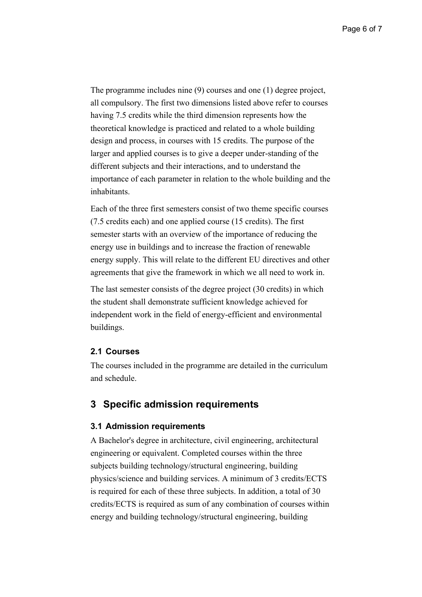The programme includes nine (9) courses and one (1) degree project, all compulsory. The first two dimensions listed above refer to courses having 7.5 credits while the third dimension represents how the theoretical knowledge is practiced and related to a whole building design and process, in courses with 15 credits. The purpose of the larger and applied courses is to give a deeper under-standing of the different subjects and their interactions, and to understand the importance of each parameter in relation to the whole building and the inhabitants.

Each of the three first semesters consist of two theme specific courses (7.5 credits each) and one applied course (15 credits). The first semester starts with an overview of the importance of reducing the energy use in buildings and to increase the fraction of renewable energy supply. This will relate to the different EU directives and other agreements that give the framework in which we all need to work in.

The last semester consists of the degree project (30 credits) in which the student shall demonstrate sufficient knowledge achieved for independent work in the field of energy-efficient and environmental buildings.

#### **2.1 Courses**

The courses included in the programme are detailed in the curriculum and schedule.

### **3 Specific admission requirements**

#### **3.1 Admission requirements**

A Bachelor's degree in architecture, civil engineering, architectural engineering or equivalent. Completed courses within the three subjects building technology/structural engineering, building physics/science and building services. A minimum of 3 credits/ECTS is required for each of these three subjects. In addition, a total of 30 credits/ECTS is required as sum of any combination of courses within energy and building technology/structural engineering, building